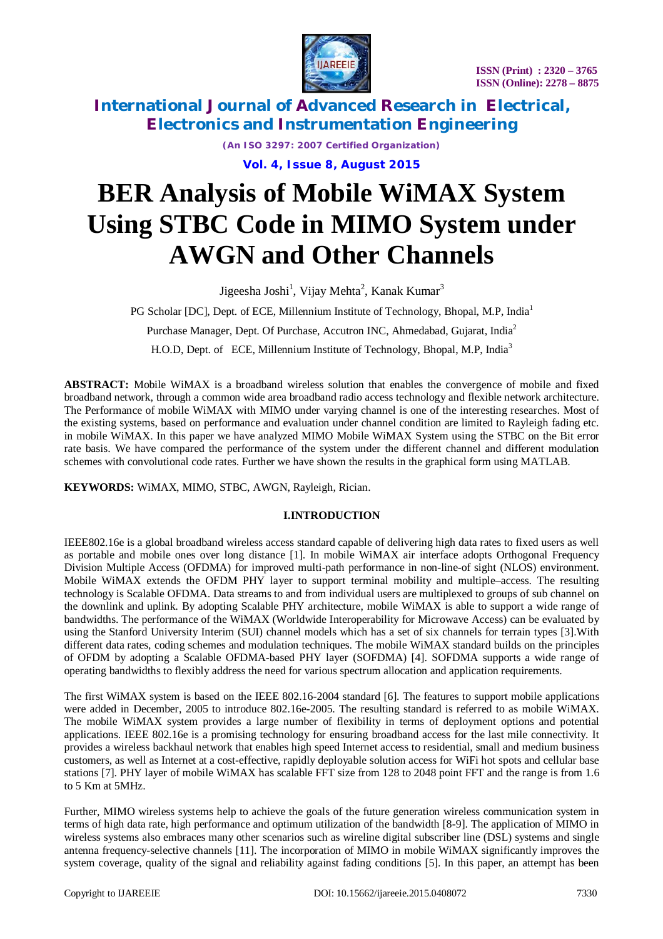



*(An ISO 3297: 2007 Certified Organization)*

**Vol. 4, Issue 8, August 2015**

# **BER Analysis of Mobile WiMAX System Using STBC Code in MIMO System under AWGN and Other Channels**

Jigeesha Joshi<sup>1</sup>, Vijay Mehta<sup>2</sup>, Kanak Kumar<sup>3</sup>

PG Scholar [DC], Dept. of ECE, Millennium Institute of Technology, Bhopal, M.P, India<sup>1</sup>

Purchase Manager, Dept. Of Purchase, Accutron INC, Ahmedabad, Gujarat, India<sup>2</sup>

H.O.D, Dept. of ECE, Millennium Institute of Technology, Bhopal, M.P, India<sup>3</sup>

**ABSTRACT:** Mobile WiMAX is a broadband wireless solution that enables the convergence of mobile and fixed broadband network, through a common wide area broadband radio access technology and flexible network architecture. The Performance of mobile WiMAX with MIMO under varying channel is one of the interesting researches. Most of the existing systems, based on performance and evaluation under channel condition are limited to Rayleigh fading etc. in mobile WiMAX. In this paper we have analyzed MIMO Mobile WiMAX System using the STBC on the Bit error rate basis. We have compared the performance of the system under the different channel and different modulation schemes with convolutional code rates. Further we have shown the results in the graphical form using MATLAB.

**KEYWORDS:** WiMAX, MIMO, STBC, AWGN, Rayleigh, Rician.

### **I.INTRODUCTION**

IEEE802.16e is a global broadband wireless access standard capable of delivering high data rates to fixed users as well as portable and mobile ones over long distance [1]. In mobile WiMAX air interface adopts Orthogonal Frequency Division Multiple Access (OFDMA) for improved multi-path performance in non-line-of sight (NLOS) environment. Mobile WiMAX extends the OFDM PHY layer to support terminal mobility and multiple–access. The resulting technology is Scalable OFDMA. Data streams to and from individual users are multiplexed to groups of sub channel on the downlink and uplink. By adopting Scalable PHY architecture, mobile WiMAX is able to support a wide range of bandwidths. The performance of the WiMAX (Worldwide Interoperability for Microwave Access) can be evaluated by using the Stanford University Interim (SUI) channel models which has a set of six channels for terrain types [3].With different data rates, coding schemes and modulation techniques. The mobile WiMAX standard builds on the principles of OFDM by adopting a Scalable OFDMA-based PHY layer (SOFDMA) [4]. SOFDMA supports a wide range of operating bandwidths to flexibly address the need for various spectrum allocation and application requirements.

The first WiMAX system is based on the IEEE 802.16-2004 standard [6]. The features to support mobile applications were added in December, 2005 to introduce 802.16e-2005. The resulting standard is referred to as mobile WiMAX. The mobile WiMAX system provides a large number of flexibility in terms of deployment options and potential applications. IEEE 802.16e is a promising technology for ensuring broadband access for the last mile connectivity. It provides a wireless backhaul network that enables high speed Internet access to residential, small and medium business customers, as well as Internet at a cost-effective, rapidly deployable solution access for WiFi hot spots and cellular base stations [7]. PHY layer of mobile WiMAX has scalable FFT size from 128 to 2048 point FFT and the range is from 1.6 to 5 Km at 5MHz.

Further, MIMO wireless systems help to achieve the goals of the future generation wireless communication system in terms of high data rate, high performance and optimum utilization of the bandwidth [8-9]. The application of MIMO in wireless systems also embraces many other scenarios such as wireline digital subscriber line (DSL) systems and single antenna frequency-selective channels [11]. The incorporation of MIMO in mobile WiMAX significantly improves the system coverage, quality of the signal and reliability against fading conditions [5]. In this paper, an attempt has been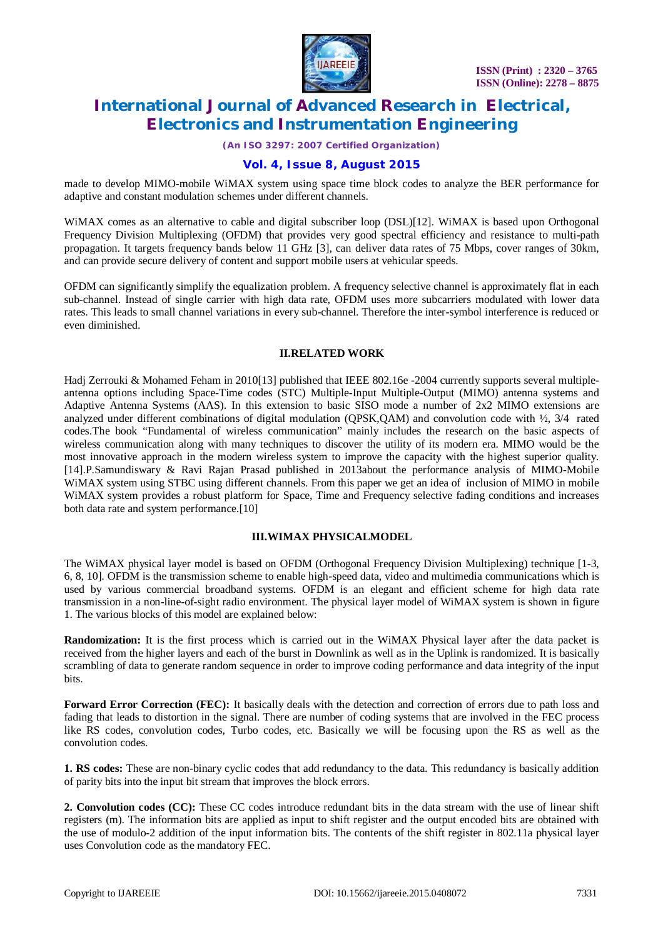

*(An ISO 3297: 2007 Certified Organization)*

### **Vol. 4, Issue 8, August 2015**

made to develop MIMO-mobile WiMAX system using space time block codes to analyze the BER performance for adaptive and constant modulation schemes under different channels.

WiMAX comes as an alternative to cable and digital subscriber loop (DSL)[12]. WiMAX is based upon Orthogonal Frequency Division Multiplexing (OFDM) that provides very good spectral efficiency and resistance to multi-path propagation. It targets frequency bands below 11 GHz [3], can deliver data rates of 75 Mbps, cover ranges of 30km, and can provide secure delivery of content and support mobile users at vehicular speeds.

OFDM can significantly simplify the equalization problem. A frequency selective channel is approximately flat in each sub-channel. Instead of single carrier with high data rate, OFDM uses more subcarriers modulated with lower data rates. This leads to small channel variations in every sub-channel. Therefore the inter-symbol interference is reduced or even diminished.

#### **II.RELATED WORK**

Hadj Zerrouki & Mohamed Feham in 2010[13] published that IEEE 802.16e -2004 currently supports several multipleantenna options including Space-Time codes (STC) Multiple-Input Multiple-Output (MIMO) antenna systems and Adaptive Antenna Systems (AAS). In this extension to basic SISO mode a number of 2x2 MIMO extensions are analyzed under different combinations of digital modulation (QPSK,QAM) and convolution code with ½, 3/4 rated codes.The book "Fundamental of wireless communication" mainly includes the research on the basic aspects of wireless communication along with many techniques to discover the utility of its modern era. MIMO would be the most innovative approach in the modern wireless system to improve the capacity with the highest superior quality. [14].P.Samundiswary & Ravi Rajan Prasad published in 2013about the performance analysis of MIMO-Mobile WiMAX system using STBC using different channels. From this paper we get an idea of inclusion of MIMO in mobile WiMAX system provides a robust platform for Space, Time and Frequency selective fading conditions and increases both data rate and system performance.<sup>[10]</sup>

#### **III.WIMAX PHYSICALMODEL**

The WiMAX physical layer model is based on OFDM (Orthogonal Frequency Division Multiplexing) technique [1-3, 6, 8, 10]. OFDM is the transmission scheme to enable high-speed data, video and multimedia communications which is used by various commercial broadband systems. OFDM is an elegant and efficient scheme for high data rate transmission in a non-line-of-sight radio environment. The physical layer model of WiMAX system is shown in figure 1. The various blocks of this model are explained below:

**Randomization:** It is the first process which is carried out in the WiMAX Physical layer after the data packet is received from the higher layers and each of the burst in Downlink as well as in the Uplink is randomized. It is basically scrambling of data to generate random sequence in order to improve coding performance and data integrity of the input bits.

**Forward Error Correction (FEC):** It basically deals with the detection and correction of errors due to path loss and fading that leads to distortion in the signal. There are number of coding systems that are involved in the FEC process like RS codes, convolution codes, Turbo codes, etc. Basically we will be focusing upon the RS as well as the convolution codes.

**1. RS codes:** These are non-binary cyclic codes that add redundancy to the data. This redundancy is basically addition of parity bits into the input bit stream that improves the block errors.

**2. Convolution codes (CC):** These CC codes introduce redundant bits in the data stream with the use of linear shift registers (m). The information bits are applied as input to shift register and the output encoded bits are obtained with the use of modulo-2 addition of the input information bits. The contents of the shift register in 802.11a physical layer uses Convolution code as the mandatory FEC.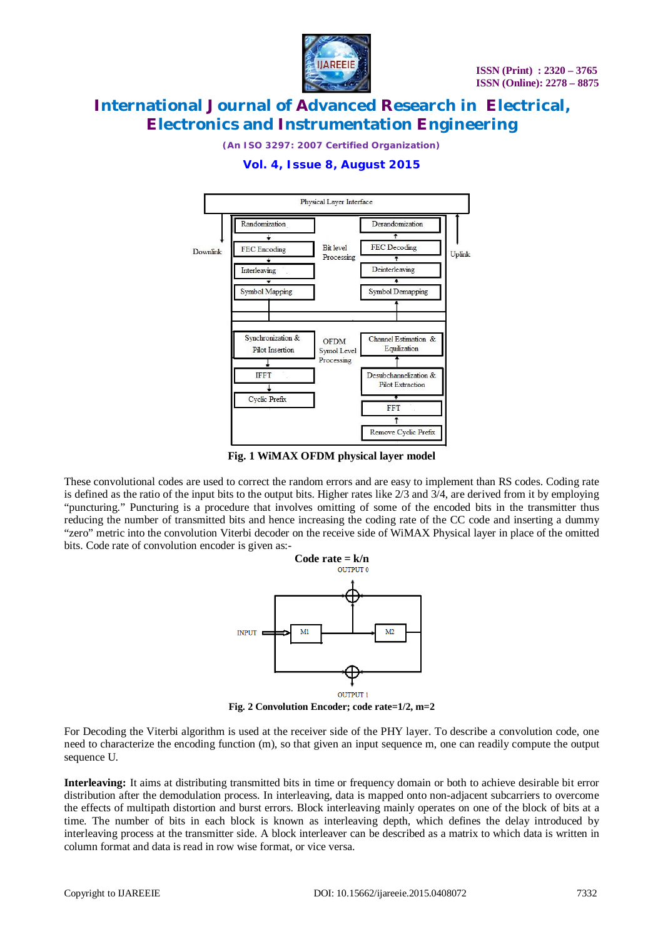

*(An ISO 3297: 2007 Certified Organization)*



### **Vol. 4, Issue 8, August 2015**

**Fig. 1 WiMAX OFDM physical layer model**

These convolutional codes are used to correct the random errors and are easy to implement than RS codes. Coding rate is defined as the ratio of the input bits to the output bits. Higher rates like  $2/3$  and  $3/4$ , are derived from it by employing "puncturing." Puncturing is a procedure that involves omitting of some of the encoded bits in the transmitter thus reducing the number of transmitted bits and hence increasing the coding rate of the CC code and inserting a dummy "zero" metric into the convolution Viterbi decoder on the receive side of WiMAX Physical layer in place of the omitted bits. Code rate of convolution encoder is given as:-



**Fig. 2 Convolution Encoder; code rate=1/2, m=2**

For Decoding the Viterbi algorithm is used at the receiver side of the PHY layer. To describe a convolution code, one need to characterize the encoding function (m), so that given an input sequence m, one can readily compute the output sequence U.

**Interleaving:** It aims at distributing transmitted bits in time or frequency domain or both to achieve desirable bit error distribution after the demodulation process. In interleaving, data is mapped onto non-adjacent subcarriers to overcome the effects of multipath distortion and burst errors. Block interleaving mainly operates on one of the block of bits at a time. The number of bits in each block is known as interleaving depth, which defines the delay introduced by interleaving process at the transmitter side. A block interleaver can be described as a matrix to which data is written in column format and data is read in row wise format, or vice versa.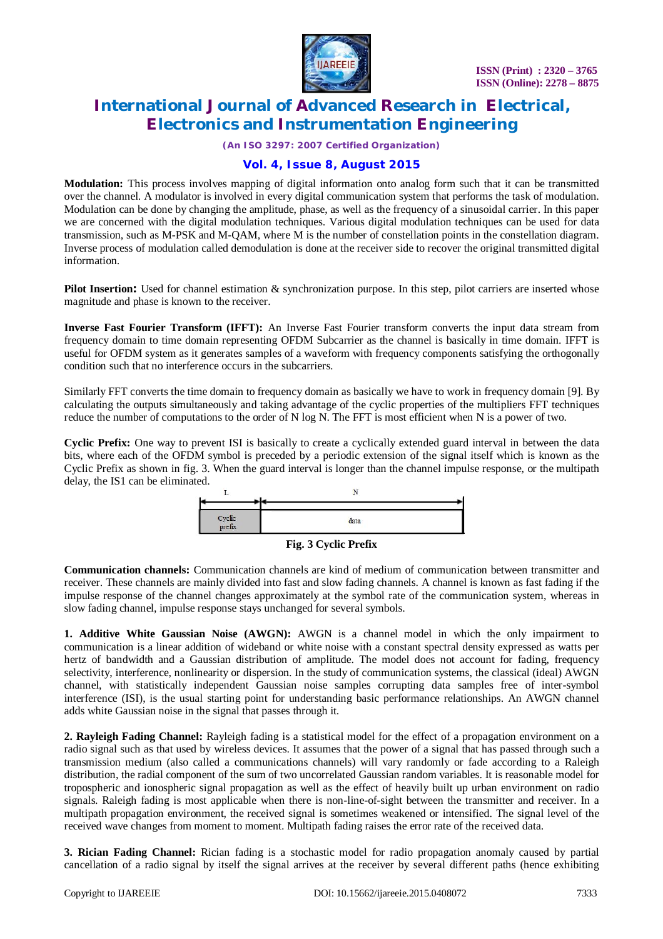

*(An ISO 3297: 2007 Certified Organization)*

### **Vol. 4, Issue 8, August 2015**

**Modulation:** This process involves mapping of digital information onto analog form such that it can be transmitted over the channel. A modulator is involved in every digital communication system that performs the task of modulation. Modulation can be done by changing the amplitude, phase, as well as the frequency of a sinusoidal carrier. In this paper we are concerned with the digital modulation techniques. Various digital modulation techniques can be used for data transmission, such as M-PSK and M-QAM, where M is the number of constellation points in the constellation diagram. Inverse process of modulation called demodulation is done at the receiver side to recover the original transmitted digital information.

**Pilot Insertion:** Used for channel estimation & synchronization purpose. In this step, pilot carriers are inserted whose magnitude and phase is known to the receiver.

**Inverse Fast Fourier Transform (IFFT):** An Inverse Fast Fourier transform converts the input data stream from frequency domain to time domain representing OFDM Subcarrier as the channel is basically in time domain. IFFT is useful for OFDM system as it generates samples of a waveform with frequency components satisfying the orthogonally condition such that no interference occurs in the subcarriers.

Similarly FFT converts the time domain to frequency domain as basically we have to work in frequency domain [9]. By calculating the outputs simultaneously and taking advantage of the cyclic properties of the multipliers FFT techniques reduce the number of computations to the order of N log N. The FFT is most efficient when N is a power of two.

**Cyclic Prefix:** One way to prevent ISI is basically to create a cyclically extended guard interval in between the data bits, where each of the OFDM symbol is preceded by a periodic extension of the signal itself which is known as the Cyclic Prefix as shown in fig. 3. When the guard interval is longer than the channel impulse response, or the multipath delay, the IS1 can be eliminated.





**Communication channels:** Communication channels are kind of medium of communication between transmitter and receiver. These channels are mainly divided into fast and slow fading channels. A channel is known as fast fading if the impulse response of the channel changes approximately at the symbol rate of the communication system, whereas in slow fading channel, impulse response stays unchanged for several symbols.

**1. Additive White Gaussian Noise (AWGN):** AWGN is a channel model in which the only impairment to communication is a linear addition of wideband or white noise with a constant spectral density expressed as watts per hertz of bandwidth and a Gaussian distribution of amplitude. The model does not account for fading, frequency selectivity, interference, nonlinearity or dispersion. In the study of communication systems, the classical (ideal) AWGN channel, with statistically independent Gaussian noise samples corrupting data samples free of inter-symbol interference (ISI), is the usual starting point for understanding basic performance relationships. An AWGN channel adds white Gaussian noise in the signal that passes through it.

**2. Rayleigh Fading Channel:** Rayleigh fading is a statistical model for the effect of a propagation environment on a radio signal such as that used by wireless devices. It assumes that the power of a signal that has passed through such a transmission medium (also called a communications channels) will vary randomly or fade according to a Raleigh distribution, the radial component of the sum of two uncorrelated Gaussian random variables. It is reasonable model for tropospheric and ionospheric signal propagation as well as the effect of heavily built up urban environment on radio signals. Raleigh fading is most applicable when there is non-line-of-sight between the transmitter and receiver. In a multipath propagation environment, the received signal is sometimes weakened or intensified. The signal level of the received wave changes from moment to moment. Multipath fading raises the error rate of the received data.

**3. Rician Fading Channel:** Rician fading is a stochastic model for radio propagation anomaly caused by partial cancellation of a radio signal by itself the signal arrives at the receiver by several different paths (hence exhibiting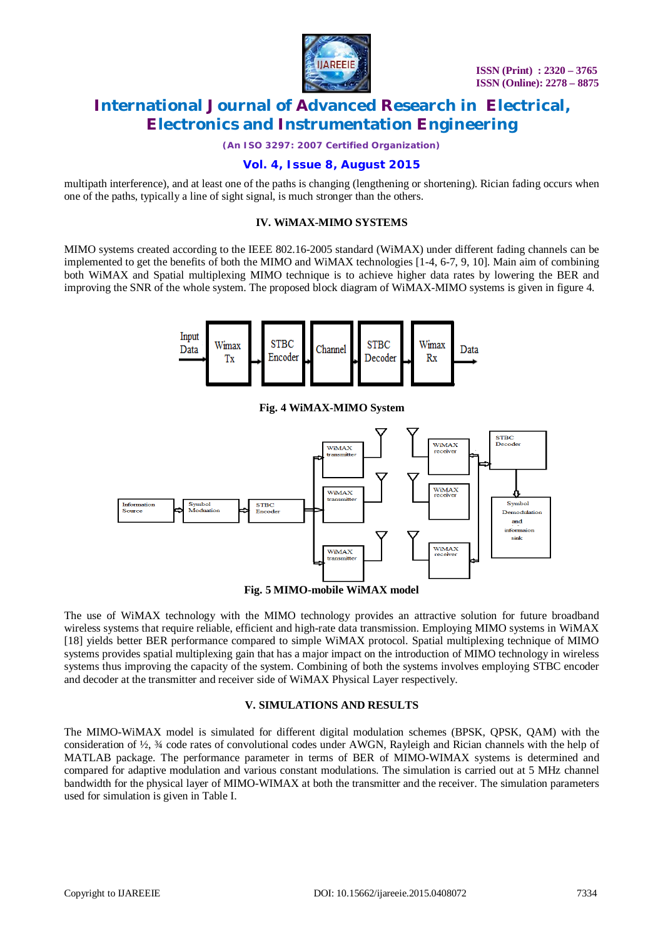

*(An ISO 3297: 2007 Certified Organization)*

### **Vol. 4, Issue 8, August 2015**

multipath interference), and at least one of the paths is changing (lengthening or shortening). Rician fading occurs when one of the paths, typically a line of sight signal, is much stronger than the others.

#### **IV. WiMAX-MIMO SYSTEMS**

MIMO systems created according to the IEEE 802.16-2005 standard (WiMAX) under different fading channels can be implemented to get the benefits of both the MIMO and WiMAX technologies [1-4, 6-7, 9, 10]. Main aim of combining both WiMAX and Spatial multiplexing MIMO technique is to achieve higher data rates by lowering the BER and improving the SNR of the whole system. The proposed block diagram of WiMAX-MIMO systems is given in figure 4.



**Fig. 4 WiMAX-MIMO System**



The use of WiMAX technology with the MIMO technology provides an attractive solution for future broadband wireless systems that require reliable, efficient and high-rate data transmission. Employing MIMO systems in WiMAX [18] yields better BER performance compared to simple WiMAX protocol. Spatial multiplexing technique of MIMO systems provides spatial multiplexing gain that has a major impact on the introduction of MIMO technology in wireless systems thus improving the capacity of the system. Combining of both the systems involves employing STBC encoder and decoder at the transmitter and receiver side of WiMAX Physical Layer respectively.

### **V. SIMULATIONS AND RESULTS**

The MIMO-WiMAX model is simulated for different digital modulation schemes (BPSK, QPSK, QAM) with the consideration of ½, ¾ code rates of convolutional codes under AWGN, Rayleigh and Rician channels with the help of MATLAB package. The performance parameter in terms of BER of MIMO-WIMAX systems is determined and compared for adaptive modulation and various constant modulations. The simulation is carried out at 5 MHz channel bandwidth for the physical layer of MIMO-WIMAX at both the transmitter and the receiver. The simulation parameters used for simulation is given in Table I.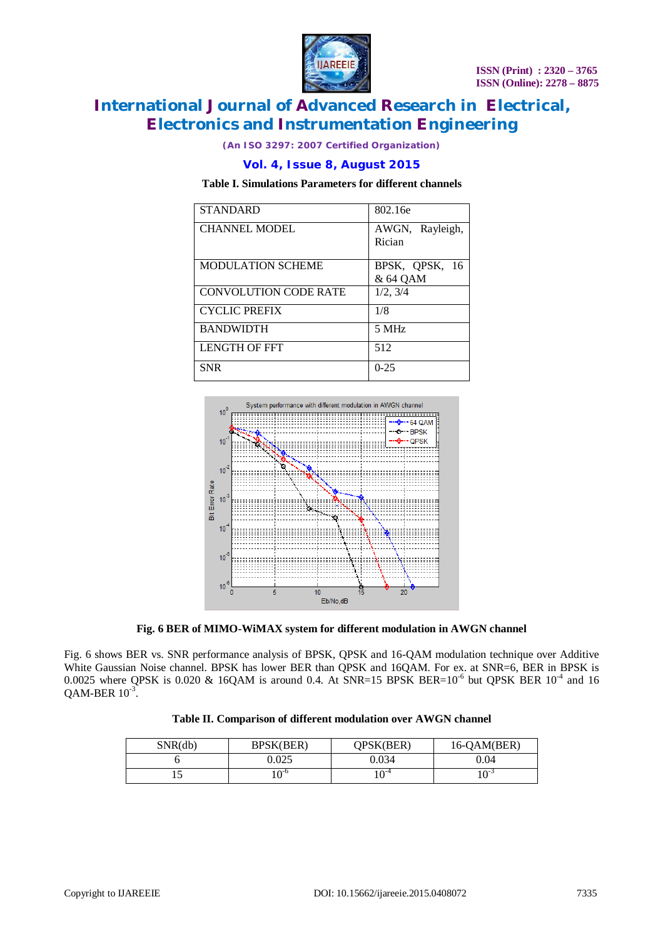

*(An ISO 3297: 2007 Certified Organization)*

#### **Vol. 4, Issue 8, August 2015**

#### **Table I. Simulations Parameters for different channels**

| <b>STANDARD</b>              | 802.16e                    |
|------------------------------|----------------------------|
| <b>CHANNEL MODEL</b>         | AWGN, Rayleigh,<br>Rician  |
| <b>MODULATION SCHEME</b>     | BPSK, QPSK, 16<br>& 64 QAM |
| <b>CONVOLUTION CODE RATE</b> | 1/2, 3/4                   |
| <b>CYCLIC PREFIX</b>         | 1/8                        |
| <b>BANDWIDTH</b>             | 5 MHz                      |
| <b>LENGTH OF FFT</b>         | 512                        |
| <b>SNR</b>                   | $0 - 25$                   |



**Fig. 6 BER of MIMO-WiMAX system for different modulation in AWGN channel**

Fig. 6 shows BER vs. SNR performance analysis of BPSK, QPSK and 16-QAM modulation technique over Additive White Gaussian Noise channel. BPSK has lower BER than QPSK and 16QAM. For ex. at SNR=6, BER in BPSK is 0.0025 where QPSK is 0.020 & 16QAM is around 0.4. At SNR=15 BPSK BER=10<sup>-6</sup> but QPSK BER 10<sup>-4</sup> and 16  $QAM-BER 10^{-3}$ .

|  | Table II. Comparison of different modulation over AWGN channel |  |  |  |  |  |
|--|----------------------------------------------------------------|--|--|--|--|--|
|--|----------------------------------------------------------------|--|--|--|--|--|

| SNR(db) | BPSK(BER)   | OPSK(BER)              | 16-QAM(BER)  |
|---------|-------------|------------------------|--------------|
|         | 0.025       | 0.034                  | 0.04         |
|         | $\Omega$ -C | $\Omega$ <sup>-4</sup> | $\bigcap$ -2 |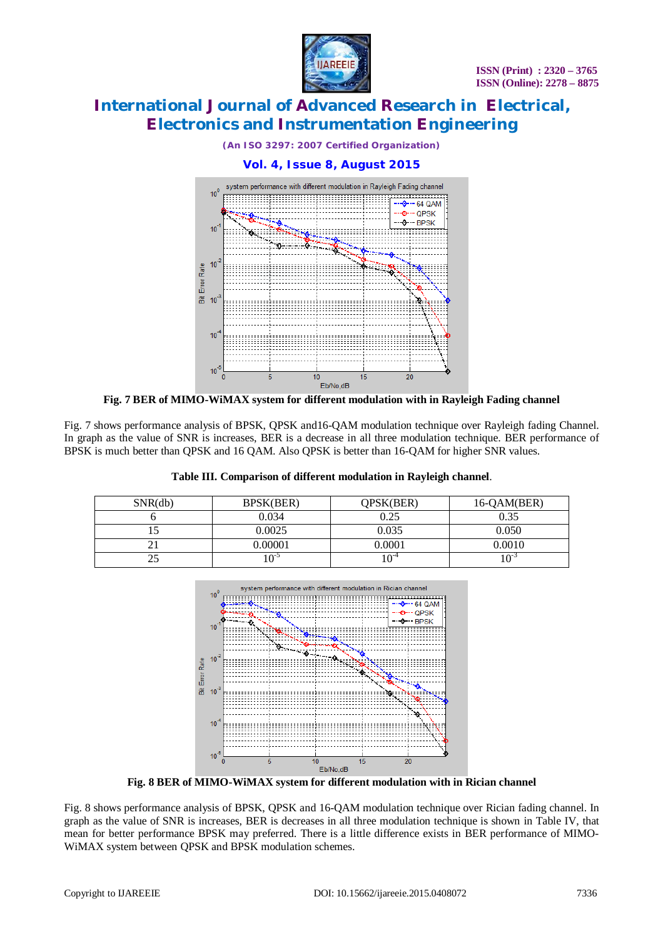

*(An ISO 3297: 2007 Certified Organization)*



**Fig. 7 BER of MIMO-WiMAX system for different modulation with in Rayleigh Fading channel**

Fig. 7 shows performance analysis of BPSK, QPSK and16-QAM modulation technique over Rayleigh fading Channel. In graph as the value of SNR is increases, BER is a decrease in all three modulation technique. BER performance of BPSK is much better than QPSK and 16 QAM. Also QPSK is better than 16-QAM for higher SNR values.

| SNR(db) | BPSK(BER) | QPSK(BER)     | 16-QAM(BER) |
|---------|-----------|---------------|-------------|
|         | 0.034     | 0.25          | 0.35        |
|         | 0.0025    | 0.035         | 0.050       |
|         | 0.00001   | 0.0001        | 0.0010      |
|         | $\cap$ -2 | $\Omega^{-4}$ | 1 ∩∹        |

### **Table III. Comparison of different modulation in Rayleigh channel**.



**Fig. 8 BER of MIMO-WiMAX system for different modulation with in Rician channel**

Fig. 8 shows performance analysis of BPSK, QPSK and 16-QAM modulation technique over Rician fading channel. In graph as the value of SNR is increases, BER is decreases in all three modulation technique is shown in Table IV, that mean for better performance BPSK may preferred. There is a little difference exists in BER performance of MIMO-WiMAX system between QPSK and BPSK modulation schemes.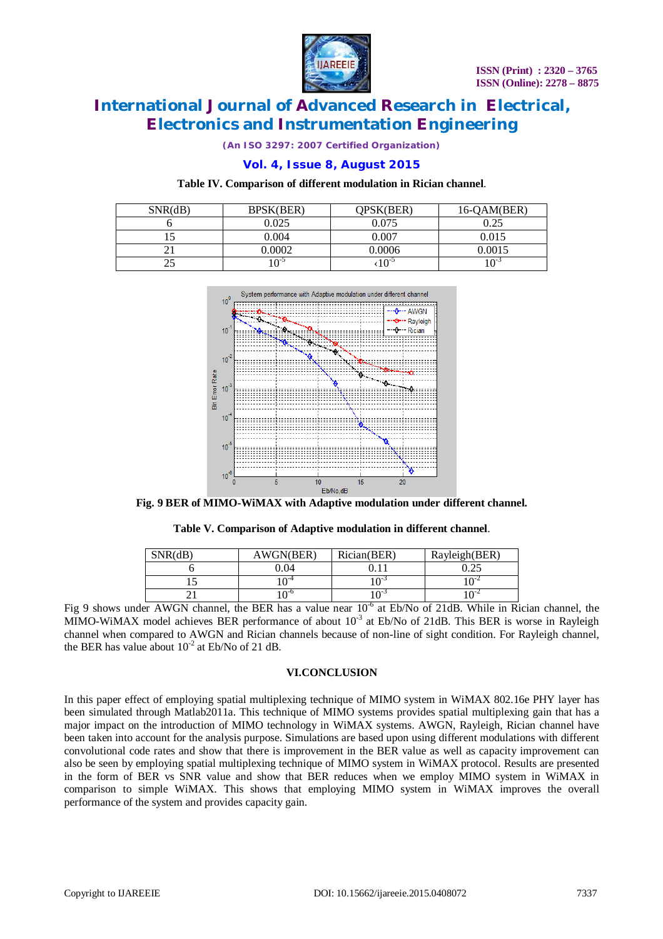

*(An ISO 3297: 2007 Certified Organization)*

### **Vol. 4, Issue 8, August 2015**

#### **Table IV. Comparison of different modulation in Rician channel**.

| SNR(dB) | BPSK(BER) | OPSK(BER) | $16$ -OAM(BER) |
|---------|-----------|-----------|----------------|
|         | 0.025     | 0.075     | 0.25           |
|         | 0.004     | 0.007     | 0.015          |
|         | 0002      | 0.0006    | 0.0015         |
|         | $\cap$ -2 |           | :־^            |



**Fig. 9 BER of MIMO-WiMAX with Adaptive modulation under different channel.**

|  | Table V. Comparison of Adaptive modulation in different channel. |  |  |  |
|--|------------------------------------------------------------------|--|--|--|
|  |                                                                  |  |  |  |

| SNR(dB) | AWGN(BER)              | Rician(BER) | Rayleigh(BER) |
|---------|------------------------|-------------|---------------|
|         | 0.04                   |             |               |
|         | $\Omega$ <sup>-4</sup> | $\Omega$    |               |
|         | ∩-⊓                    |             |               |

Fig 9 shows under AWGN channel, the BER has a value near 10<sup>-6</sup> at Eb/No of 21dB. While in Rician channel, the MIMO-WiMAX model achieves BER performance of about  $10^{-3}$  at Eb/No of 21dB. This BER is worse in Rayleigh channel when compared to AWGN and Rician channels because of non-line of sight condition. For Rayleigh channel, the BER has value about  $10^{-2}$  at Eb/No of 21 dB.

#### **VI.CONCLUSION**

In this paper effect of employing spatial multiplexing technique of MIMO system in WiMAX 802.16e PHY layer has been simulated through Matlab2011a. This technique of MIMO systems provides spatial multiplexing gain that has a major impact on the introduction of MIMO technology in WiMAX systems. AWGN, Rayleigh, Rician channel have been taken into account for the analysis purpose. Simulations are based upon using different modulations with different convolutional code rates and show that there is improvement in the BER value as well as capacity improvement can also be seen by employing spatial multiplexing technique of MIMO system in WiMAX protocol. Results are presented in the form of BER vs SNR value and show that BER reduces when we employ MIMO system in WiMAX in comparison to simple WiMAX. This shows that employing MIMO system in WiMAX improves the overall performance of the system and provides capacity gain.